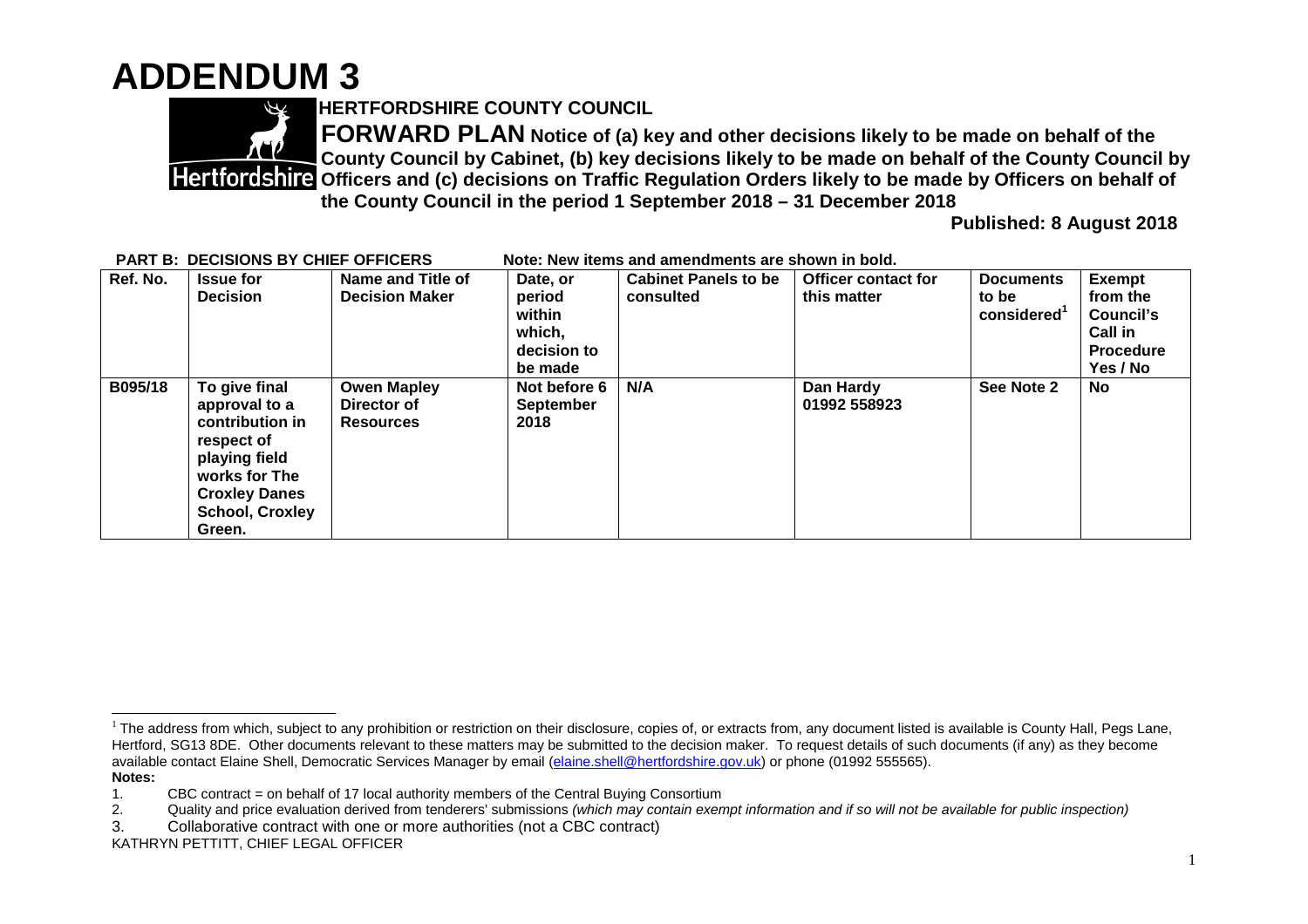## **ADDENDUM 3**



**HERTFORDSHIRE COUNTY COUNCIL**

**FORWARD PLAN Notice of (a) key and other decisions likely to be made on behalf of the County Council by Cabinet, (b) key decisions likely to be made on behalf of the County Council by Officers and (c) decisions on Traffic Regulation Orders likely to be made by Officers on behalf of the County Council in the period 1 September 2018 – 31 December 2018**

**Published: 8 August 2018**

| Ref. No. | <b>Issue for</b>       | Name and Title of     | Date, or         | <b>Cabinet Panels to be</b> | <b>Officer contact for</b> | <b>Documents</b> | <b>Exempt</b>    |
|----------|------------------------|-----------------------|------------------|-----------------------------|----------------------------|------------------|------------------|
|          | <b>Decision</b>        | <b>Decision Maker</b> | period           | consulted                   | this matter                | to be            | from the         |
|          |                        |                       | within           |                             |                            | considered       | Council's        |
|          |                        |                       | which,           |                             |                            |                  | <b>Call in</b>   |
|          |                        |                       | decision to      |                             |                            |                  | <b>Procedure</b> |
|          |                        |                       | be made          |                             |                            |                  | Yes / No         |
| B095/18  | To give final          | <b>Owen Mapley</b>    | Not before 6     | N/A                         | Dan Hardy                  | See Note 2       | <b>No</b>        |
|          | approval to a          | Director of           | <b>September</b> |                             | 01992 558923               |                  |                  |
|          | contribution in        | <b>Resources</b>      | 2018             |                             |                            |                  |                  |
|          | respect of             |                       |                  |                             |                            |                  |                  |
|          | playing field          |                       |                  |                             |                            |                  |                  |
|          | works for The          |                       |                  |                             |                            |                  |                  |
|          | <b>Croxley Danes</b>   |                       |                  |                             |                            |                  |                  |
|          | <b>School, Croxley</b> |                       |                  |                             |                            |                  |                  |
|          | Green.                 |                       |                  |                             |                            |                  |                  |

## **PART B: DECISIONS BY CHIEF OFFICERS Note: New items and amendments are shown in bold.**

<sup>&</sup>lt;sup>1</sup> The address from which, subject to any prohibition or restriction on their disclosure, copies of, or extracts from, any document listed is available is County Hall, Pegs Lane, Hertford, SG13 8DE. Other documents relevant to these matters may be submitted to the decision maker. To request details of such documents (if any) as they become available contact Elaine Shell, Democratic Services Manager by email (elaine.shell@hertfordshire.gov.uk) or phone (01992 555565). **Notes:**

<sup>1.</sup> CBC contract = on behalf of 17 local authority members of the Central Buying Consortium

<sup>2.</sup> Quality and price evaluation derived from tenderers' submissions *(which may contain exempt information and if so will not be available for public inspection)*

<sup>3.</sup> Collaborative contract with one or more authorities (not a CBC contract)

KATHRYN PETTITT, CHIEF LEGAL OFFICER